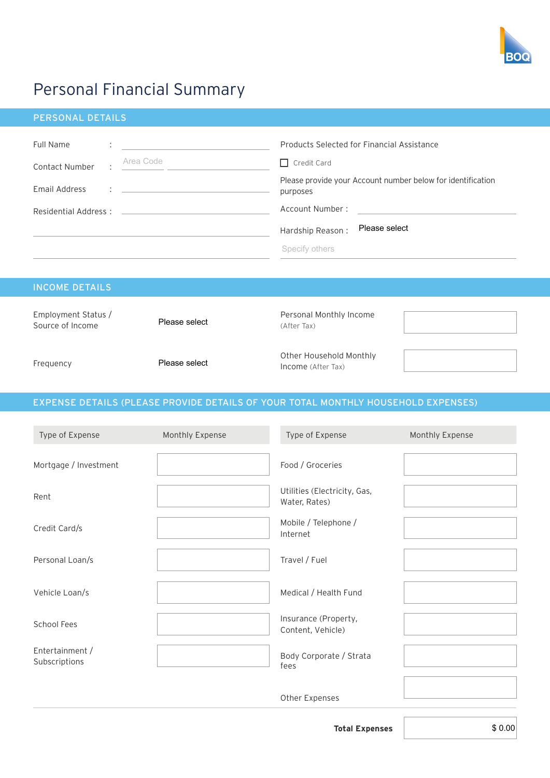

## Personal Financial Summary

| <b>PERSONAL DETAILS</b>                      |                                                                                                                                                                                                                                                                                                                            |                                                                                                                                                                                                                       |
|----------------------------------------------|----------------------------------------------------------------------------------------------------------------------------------------------------------------------------------------------------------------------------------------------------------------------------------------------------------------------------|-----------------------------------------------------------------------------------------------------------------------------------------------------------------------------------------------------------------------|
| Full Name<br>Contact Number<br>Email Address | Area Code<br>$\mathbf{1}$ . The contract of the contract of the contract of the contract of the contract of the contract of the contract of the contract of the contract of the contract of the contract of the contract of the contract of th<br>Residential Address: 2008 Communication of the Residential Address: 2008 | Products Selected for Financial Assistance<br>$\Box$ Credit Card<br>Please provide your Account number below for identification<br>purposes<br>Account Number:<br>Please select<br>Hardship Reason:<br>Specify others |
| <b>INCOME DETAILS</b>                        |                                                                                                                                                                                                                                                                                                                            |                                                                                                                                                                                                                       |
| Employment Status /<br>Source of Income      | Please select                                                                                                                                                                                                                                                                                                              | Personal Monthly Income<br>(After Tax)                                                                                                                                                                                |
| Frequency                                    | Please select                                                                                                                                                                                                                                                                                                              | Other Household Monthly<br>Income (After Tax)                                                                                                                                                                         |

## EXPENSE DETAILS (PLEASE PROVIDE DETAILS OF YOUR TOTAL MONTHLY HOUSEHOLD EXPENSES)

| Type of Expense                  | Monthly Expense | Type of Expense                               | Monthly Expense |
|----------------------------------|-----------------|-----------------------------------------------|-----------------|
| Mortgage / Investment            |                 | Food / Groceries                              |                 |
| Rent                             |                 | Utilities (Electricity, Gas,<br>Water, Rates) |                 |
| Credit Card/s                    |                 | Mobile / Telephone /<br>Internet              |                 |
| Personal Loan/s                  |                 | Travel / Fuel                                 |                 |
| Vehicle Loan/s                   |                 | Medical / Health Fund                         |                 |
| School Fees                      |                 | Insurance (Property,<br>Content, Vehicle)     |                 |
| Entertainment /<br>Subscriptions |                 | Body Corporate / Strata<br>fees               |                 |
|                                  |                 | Other Expenses                                |                 |